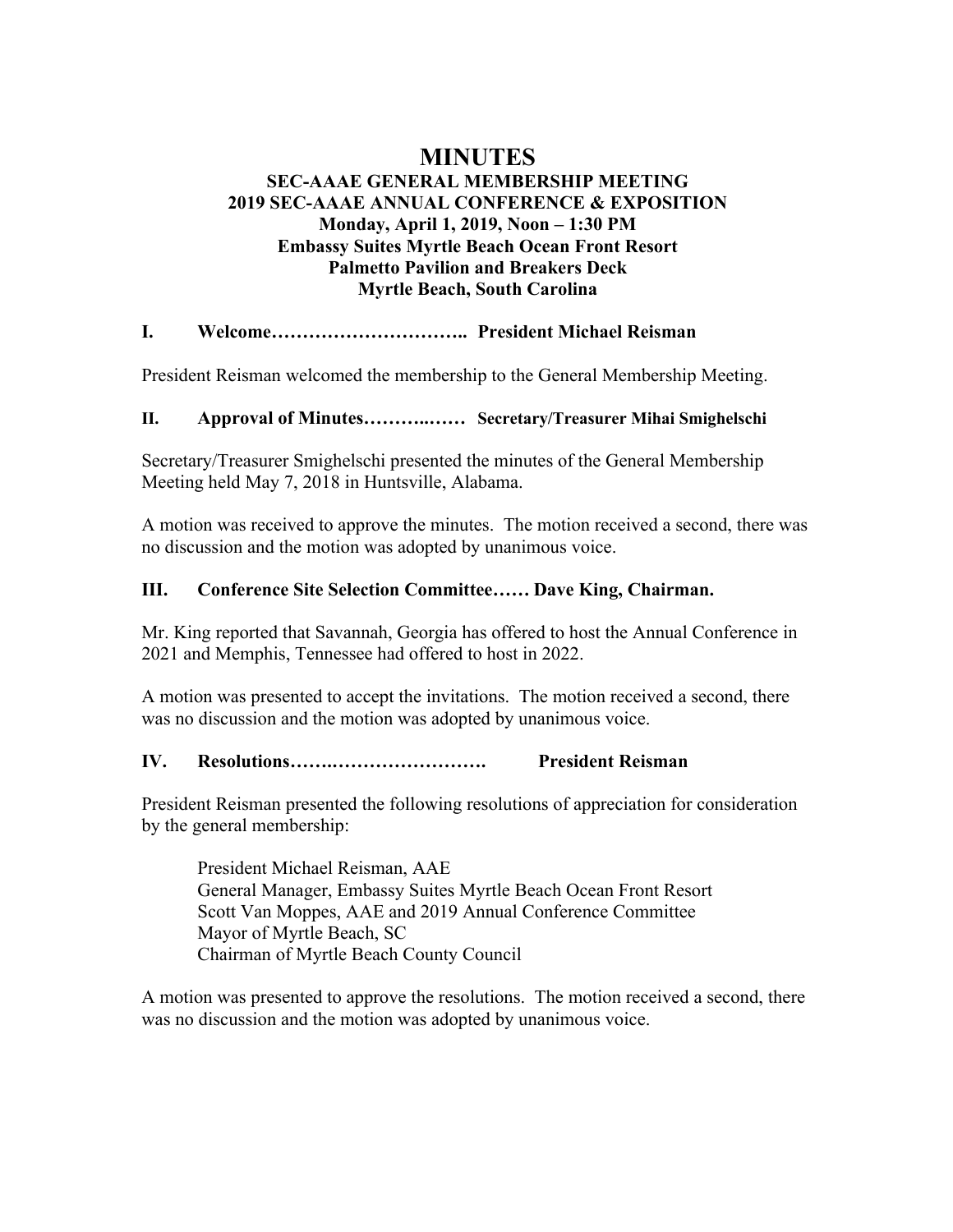# **MINUTES**

# **SEC-AAAE GENERAL MEMBERSHIP MEETING 2019 SEC-AAAE ANNUAL CONFERENCE & EXPOSITION Monday, April 1, 2019, Noon – 1:30 PM Embassy Suites Myrtle Beach Ocean Front Resort Palmetto Pavilion and Breakers Deck Myrtle Beach, South Carolina**

## **I. Welcome………………………….. President Michael Reisman**

President Reisman welcomed the membership to the General Membership Meeting.

#### **II. Approval of Minutes………..…… Secretary/Treasurer Mihai Smighelschi**

Secretary/Treasurer Smighelschi presented the minutes of the General Membership Meeting held May 7, 2018 in Huntsville, Alabama.

A motion was received to approve the minutes. The motion received a second, there was no discussion and the motion was adopted by unanimous voice.

## **III. Conference Site Selection Committee…… Dave King, Chairman.**

Mr. King reported that Savannah, Georgia has offered to host the Annual Conference in 2021 and Memphis, Tennessee had offered to host in 2022.

A motion was presented to accept the invitations. The motion received a second, there was no discussion and the motion was adopted by unanimous voice.

## **IV. Resolutions…….……………………. President Reisman**

President Reisman presented the following resolutions of appreciation for consideration by the general membership:

President Michael Reisman, AAE General Manager, Embassy Suites Myrtle Beach Ocean Front Resort Scott Van Moppes, AAE and 2019 Annual Conference Committee Mayor of Myrtle Beach, SC Chairman of Myrtle Beach County Council

A motion was presented to approve the resolutions. The motion received a second, there was no discussion and the motion was adopted by unanimous voice.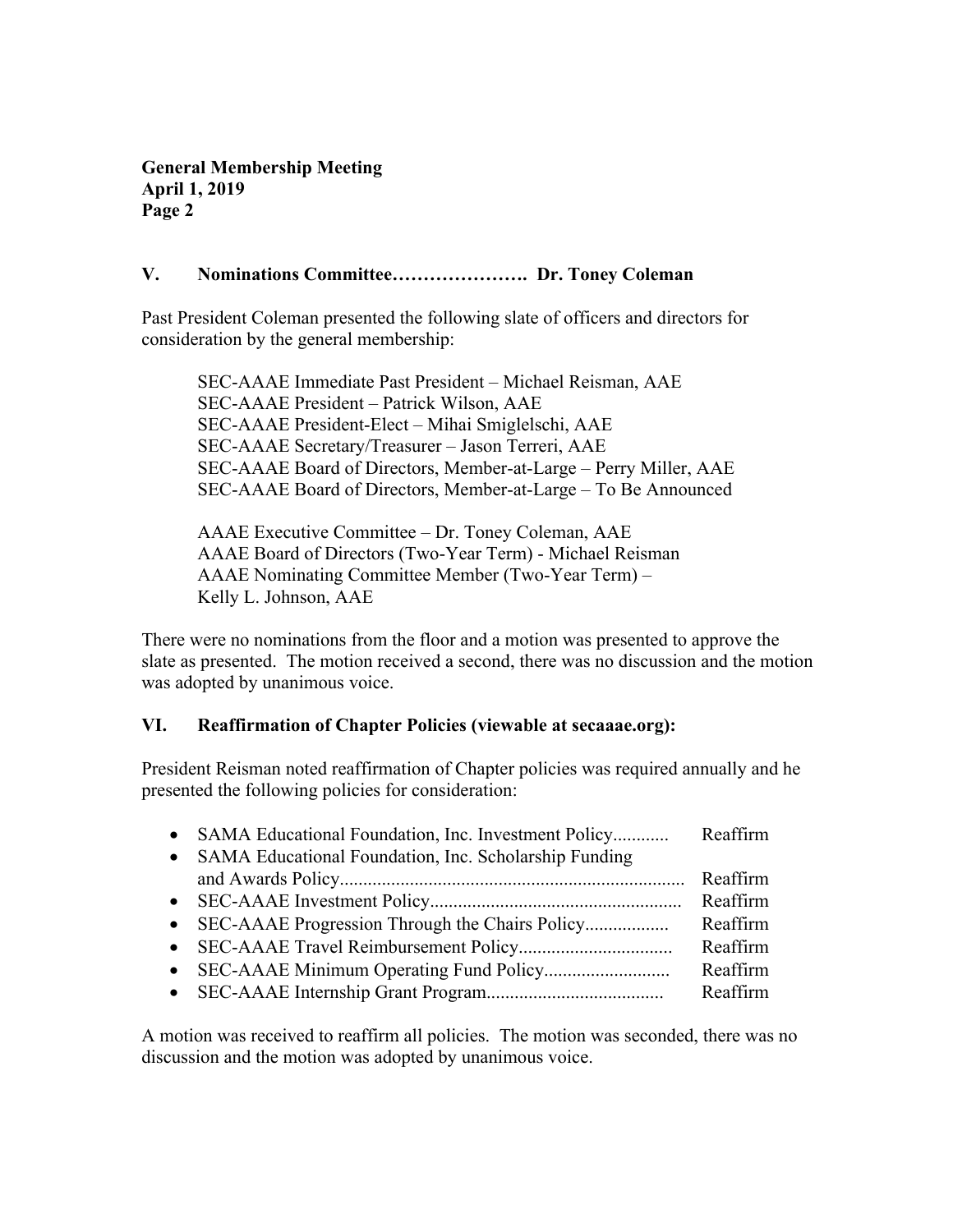**General Membership Meeting April 1, 2019 Page 2**

### **V. Nominations Committee…………………. Dr. Toney Coleman**

Past President Coleman presented the following slate of officers and directors for consideration by the general membership:

SEC-AAAE Immediate Past President – Michael Reisman, AAE SEC-AAAE President – Patrick Wilson, AAE SEC-AAAE President-Elect – Mihai Smiglelschi, AAE SEC-AAAE Secretary/Treasurer – Jason Terreri, AAE SEC-AAAE Board of Directors, Member-at-Large – Perry Miller, AAE SEC-AAAE Board of Directors, Member-at-Large – To Be Announced

AAAE Executive Committee – Dr. Toney Coleman, AAE AAAE Board of Directors (Two-Year Term) - Michael Reisman AAAE Nominating Committee Member (Two-Year Term) – Kelly L. Johnson, AAE

There were no nominations from the floor and a motion was presented to approve the slate as presented. The motion received a second, there was no discussion and the motion was adopted by unanimous voice.

## **VI. Reaffirmation of Chapter Policies (viewable at secaaae.org):**

President Reisman noted reaffirmation of Chapter policies was required annually and he presented the following policies for consideration:

| Reaffirm |
|----------|
| Reaffirm |
| Reaffirm |
| Reaffirm |
| Reaffirm |
| Reaffirm |
|          |

A motion was received to reaffirm all policies. The motion was seconded, there was no discussion and the motion was adopted by unanimous voice.